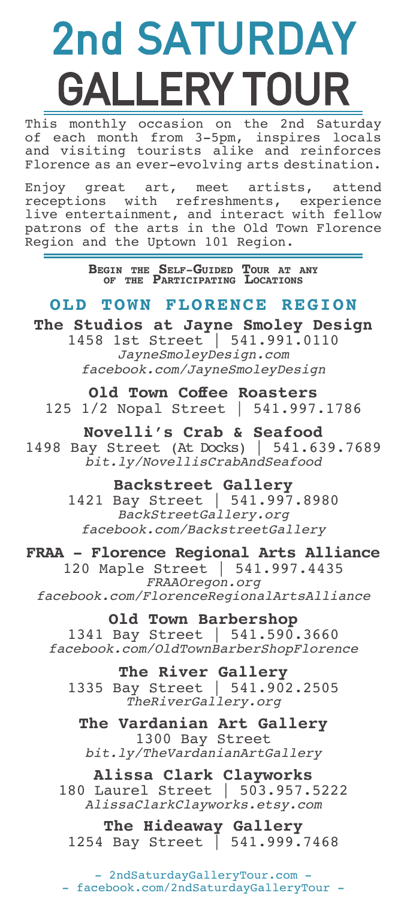# 2nd SATURDAY GALLERY TOUR

This monthly occasion on the 2nd Saturday of each month from 3-5pm, inspires locals and visiting tourists alike and reinforces Florence as an ever-evolving arts destination.

Enjoy great art, meet artists, attend receptions with refreshments, experience live entertainment, and interact with fellow patrons of the arts in the Old Town Florence Region and the Uptown 101 Region.

**Begin the Self-Guided Tour at any of the Participating Locations**

## **OLD TOWN FLORENCE REGION**

**The Studios at Jayne Smoley Design**  1458 1st Street | 541.991.0110 *JayneSmoleyDesign.com facebook.com/JayneSmoleyDesign*

**Old Town Coffee Roasters** 125 1/2 Nopal Street | 541.997.1786

**Novelli's Crab & Seafood** 1498 Bay Street (At Docks) | 541.639.7689 *bit.ly/NovellisCrabAndSeafood*

> **Backstreet Gallery** 1421 Bay Street | 541.997.8980 *BackStreetGallery.org facebook.com/BackstreetGallery*

**FRAA - Florence Regional Arts Alliance** 120 Maple Street | 541.997.4435 *FRAAOregon.org facebook.com/FlorenceRegionalArtsAlliance*

**Old Town Barbershop** 1341 Bay Street | 541.590.3660 *facebook.com/OldTownBarberShopFlorence*

**The River Gallery** 1335 Bay Street | 541.902.2505 *TheRiverGallery.org*

**The Vardanian Art Gallery** 1300 Bay Street *bit.ly/TheVardanianArtGallery*

**Alissa Clark Clayworks** 180 Laurel Street | 503.957.5222 *AlissaClarkClayworks.etsy.com*

**The Hideaway Gallery** 1254 Bay Street | 541.999.7468

- 2ndSaturdayGalleryTour.com - - facebook.com/2ndSaturdayGalleryTour -